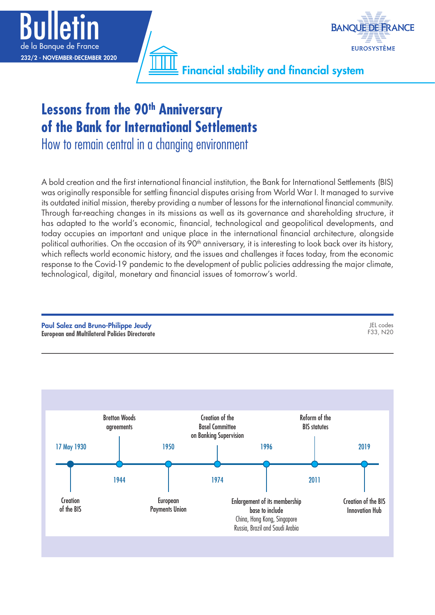



Financial stability and financial system

# Lessons from the 90<sup>th</sup> Anniversary **of the Bank for International Settlements**

How to remain central in a changing environment

A bold creation and the first international financial institution, the Bank for International Settlements (BIS) was originally responsible for settling financial disputes arising from World War I. It managed to survive its outdated initial mission, thereby providing a number of lessons for the international financial community. Through far-reaching changes in its missions as well as its governance and shareholding structure, it has adapted to the world's economic, financial, technological and geopolitical developments, and today occupies an important and unique place in the international financial architecture, alongside political authorities. On the occasion of its 90<sup>th</sup> anniversary, it is interesting to look back over its history, which reflects world economic history, and the issues and challenges it faces today, from the economic response to the Covid-19 pandemic to the development of public policies addressing the major climate, technological, digital, monetary and financial issues of tomorrow's world.

Paul Salez and Bruno‑Philippe Jeudy **European and Multilateral Policies Directorate** JEL codes F33, N20

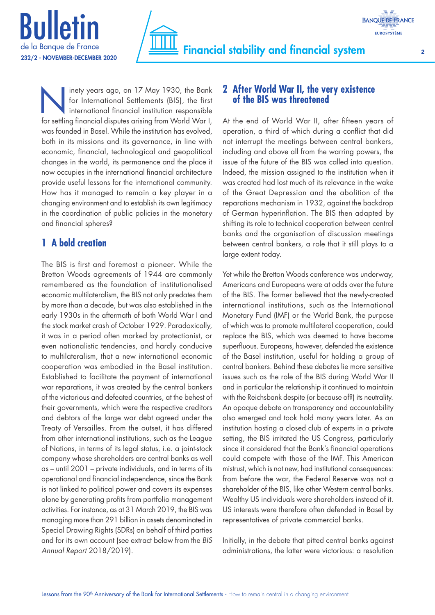



Inety years ago, on 17 May 1930, the Bank<br>for International Settlements (BIS), the first<br>international financial institution responsible<br>for settling financial disputes grising from World World for International Settlements (BIS), the first international financial institution responsible for settling financial disputes arising from World War I, was founded in Basel. While the institution has evolved, both in its missions and its governance, in line with economic, financial, technological and geopolitical changes in the world, its permanence and the place it now occupies in the international financial architecture provide useful lessons for the international community. How has it managed to remain a key player in a changing environment and to establish its own legitimacy in the coordination of public policies in the monetary and financial spheres?

# **1 A bold creation**

The BIS is first and foremost a pioneer. While the Bretton Woods agreements of 1944 are commonly remembered as the foundation of institutionalised economic multilateralism, the BIS not only predates them by more than a decade, but was also established in the early 1930s in the aftermath of both World War I and the stock market crash of October 1929. Paradoxically, it was in a period often marked by protectionist, or even nationalistic tendencies, and hardly conducive to multilateralism, that a new international economic cooperation was embodied in the Basel institution. Established to facilitate the payment of international war reparations, it was created by the central bankers of the victorious and defeated countries, at the behest of their governments, which were the respective creditors and debtors of the large war debt agreed under the Treaty of Versailles. From the outset, it has differed from other international institutions, such as the League of Nations, in terms of its legal status, i.e. a joint-stock company whose shareholders are central banks as well as – until 2001 – private individuals, and in terms of its operational and financial independence, since the Bank is not linked to political power and covers its expenses alone by generating profits from portfolio management activities. For instance, as at 31 March 2019, the BIS was managing more than 291 billion in assets denominated in Special Drawing Rights (SDRs) on behalf of third parties and for its own account (see extract below from the *BIS Annual Report* 2018/2019).

# **2 After World War II, the very existence of the BIS was threatened**

At the end of World War II, after fifteen years of operation, a third of which during a conflict that did not interrupt the meetings between central bankers, including and above all from the warring powers, the issue of the future of the BIS was called into question. Indeed, the mission assigned to the institution when it was created had lost much of its relevance in the wake of the Great Depression and the abolition of the reparations mechanism in 1932, against the backdrop of German hyperinflation. The BIS then adapted by shifting its role to technical cooperation between central banks and the organisation of discussion meetings between central bankers, a role that it still plays to a large extent today.

Yet while the Bretton Woods conference was underway, Americans and Europeans were at odds over the future of the BIS. The former believed that the newly-created international institutions, such as the International Monetary Fund (IMF) or the World Bank, the purpose of which was to promote multilateral cooperation, could replace the BIS, which was deemed to have become superfluous. Europeans, however, defended the existence of the Basel institution, useful for holding a group of central bankers. Behind these debates lie more sensitive issues such as the role of the BIS during World War II and in particular the relationship it continued to maintain with the Reichsbank despite (or because of?) its neutrality. An opaque debate on transparency and accountability also emerged and took hold many years later. As an institution hosting a closed club of experts in a private setting, the BIS irritated the US Congress, particularly since it considered that the Bank's financial operations could compete with those of the IMF. This American mistrust, which is not new, had institutional consequences: from before the war, the Federal Reserve was not a shareholder of the BIS, like other Western central banks. Wealthy US individuals were shareholders instead of it. US interests were therefore often defended in Basel by representatives of private commercial banks.

Initially, in the debate that pitted central banks against administrations, the latter were victorious: a resolution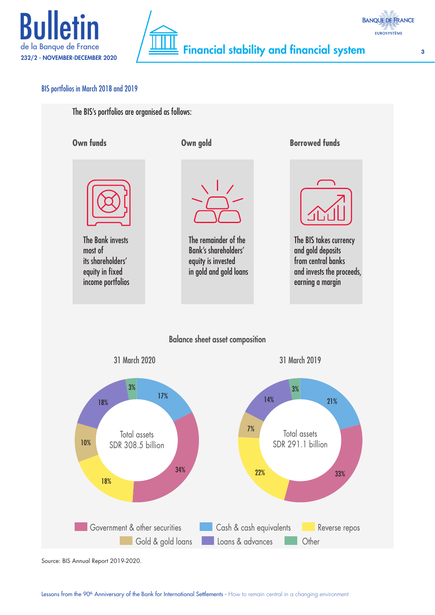



### BIS portfolios in March 2018 and 2019



Source: BIS Annual Report 2019-2020.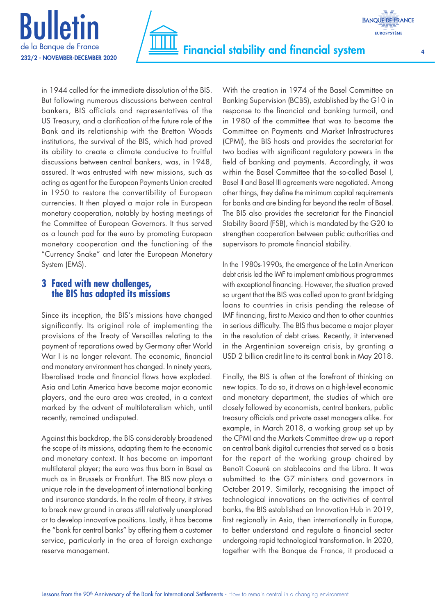



in 1944 called for the immediate dissolution of the BIS. But following numerous discussions between central bankers, BIS officials and representatives of the US Treasury, and a clarification of the future role of the Bank and its relationship with the Bretton Woods institutions, the survival of the BIS, which had proved its ability to create a climate conducive to fruitful discussions between central bankers, was, in 1948, assured. It was entrusted with new missions, such as acting as agent for the European Payments Union created in 1950 to restore the convertibility of European currencies. It then played a major role in European monetary cooperation, notably by hosting meetings of the Committee of European Governors. It thus served as a launch pad for the euro by promoting European monetary cooperation and the functioning of the "Currency Snake" and later the European Monetary System (EMS).

# **3 Faced with new challenges, the BIS has adapted its missions**

Since its inception, the BIS's missions have changed significantly. Its original role of implementing the provisions of the Treaty of Versailles relating to the payment of reparations owed by Germany after World War I is no longer relevant. The economic, financial and monetary environment has changed. In ninety years, liberalised trade and financial flows have exploded. Asia and Latin America have become major economic players, and the euro area was created, in a context marked by the advent of multilateralism which, until recently, remained undisputed.

Against this backdrop, the BIS considerably broadened the scope of its missions, adapting them to the economic and monetary context. It has become an important multilateral player; the euro was thus born in Basel as much as in Brussels or Frankfurt. The BIS now plays a unique role in the development of international banking and insurance standards. In the realm of theory, it strives to break new ground in areas still relatively unexplored or to develop innovative positions. Lastly, it has become the "bank for central banks" by offering them a customer service, particularly in the area of foreign exchange reserve management.

With the creation in 1974 of the Basel Committee on Banking Supervision (BCBS), established by the G10 in response to the financial and banking turmoil, and in 1980 of the committee that was to become the Committee on Payments and Market Infrastructures (CPMI), the BIS hosts and provides the secretariat for two bodies with significant regulatory powers in the field of banking and payments. Accordingly, it was within the Basel Committee that the so-called Basel I, Basel II and Basel III agreements were negotiated. Among other things, they define the minimum capital requirements for banks and are binding far beyond the realm of Basel. The BIS also provides the secretariat for the Financial Stability Board (FSB), which is mandated by the G20 to strengthen cooperation between public authorities and supervisors to promote financial stability.

In the 1980s-1990s, the emergence of the Latin American debt crisis led the IMF to implement ambitious programmes with exceptional financing. However, the situation proved so urgent that the BIS was called upon to grant bridging loans to countries in crisis pending the release of IMF financing, first to Mexico and then to other countries in serious difficulty. The BIS thus became a major player in the resolution of debt crises. Recently, it intervened in the Argentinian sovereign crisis, by granting a USD 2 billion credit line to its central bank in May 2018.

Finally, the BIS is often at the forefront of thinking on new topics. To do so, it draws on a high-level economic and monetary department, the studies of which are closely followed by economists, central bankers, public treasury officials and private asset managers alike. For example, in March 2018, a working group set up by the CPMI and the Markets Committee drew up a report on central bank digital currencies that served as a basis for the report of the working group chaired by Benoît Coeuré on stablecoins and the Libra. It was submitted to the G7 ministers and governors in October 2019. Similarly, recognising the impact of technological innovations on the activities of central banks, the BIS established an Innovation Hub in 2019, first regionally in Asia, then internationally in Europe, to better understand and regulate a financial sector undergoing rapid technological transformation. In 2020, together with the Banque de France, it produced a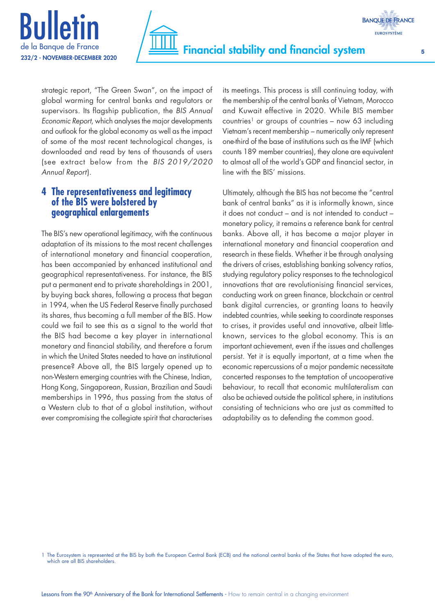



strategic report, "The Green Swan", on the impact of global warming for central banks and regulators or supervisors. Its flagship publication, the *BIS Annual Economic Report*, which analyses the major developments and outlook for the global economy as well as the impact of some of the most recent technological changes, is downloaded and read by tens of thousands of users (see extract below from the *BIS 2019/2020 Annual Report*).

## **4 The representativeness and legitimacy of the BIS were bolstered by geographical enlargements**

The BIS's new operational legitimacy, with the continuous adaptation of its missions to the most recent challenges of international monetary and financial cooperation, has been accompanied by enhanced institutional and geographical representativeness. For instance, the BIS put a permanent end to private shareholdings in 2001, by buying back shares, following a process that began in 1994, when the US Federal Reserve finally purchased its shares, thus becoming a full member of the BIS. How could we fail to see this as a signal to the world that the BIS had become a key player in international monetary and financial stability, and therefore a forum in which the United States needed to have an institutional presence? Above all, the BIS largely opened up to non-Western emerging countries with the Chinese, Indian, Hong Kong, Singaporean, Russian, Brazilian and Saudi memberships in 1996, thus passing from the status of a Western club to that of a global institution, without ever compromising the collegiate spirit that characterises its meetings. This process is still continuing today, with the membership of the central banks of Vietnam, Morocco and Kuwait effective in 2020. While BIS member countries<sup>1</sup> or groups of countries – now 63 including Vietnam's recent membership – numerically only represent one-third of the base of institutions such as the IMF (which counts 189 member countries), they alone are equivalent to almost all of the world's GDP and financial sector, in line with the BIS' missions.

Ultimately, although the BIS has not become the "central bank of central banks" as it is informally known, since it does not conduct – and is not intended to conduct – monetary policy, it remains a reference bank for central banks. Above all, it has become a major player in international monetary and financial cooperation and research in these fields. Whether it be through analysing the drivers of crises, establishing banking solvency ratios, studying regulatory policy responses to the technological innovations that are revolutionising financial services, conducting work on green finance, blockchain or central bank digital currencies, or granting loans to heavily indebted countries, while seeking to coordinate responses to crises, it provides useful and innovative, albeit littleknown, services to the global economy. This is an important achievement, even if the issues and challenges persist. Yet it is equally important, at a time when the economic repercussions of a major pandemic necessitate concerted responses to the temptation of uncooperative behaviour, to recall that economic multilateralism can also be achieved outside the political sphere, in institutions consisting of technicians who are just as committed to adaptability as to defending the common good.

<sup>1</sup> The Eurosystem is represented at the BIS by both the European Central Bank (ECB) and the national central banks of the States that have adopted the euro, which are all BIS shareholders.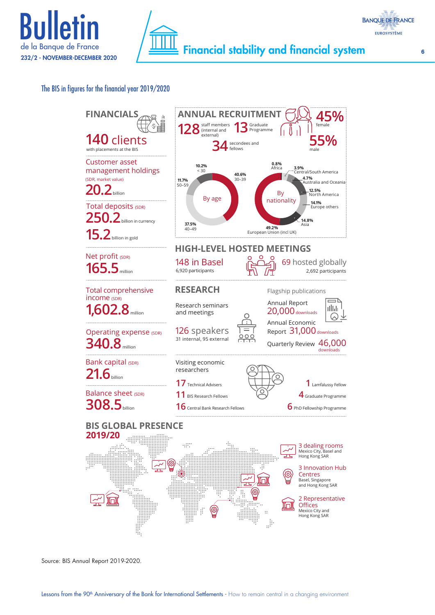





Source: BIS Annual Report 2019-2020.